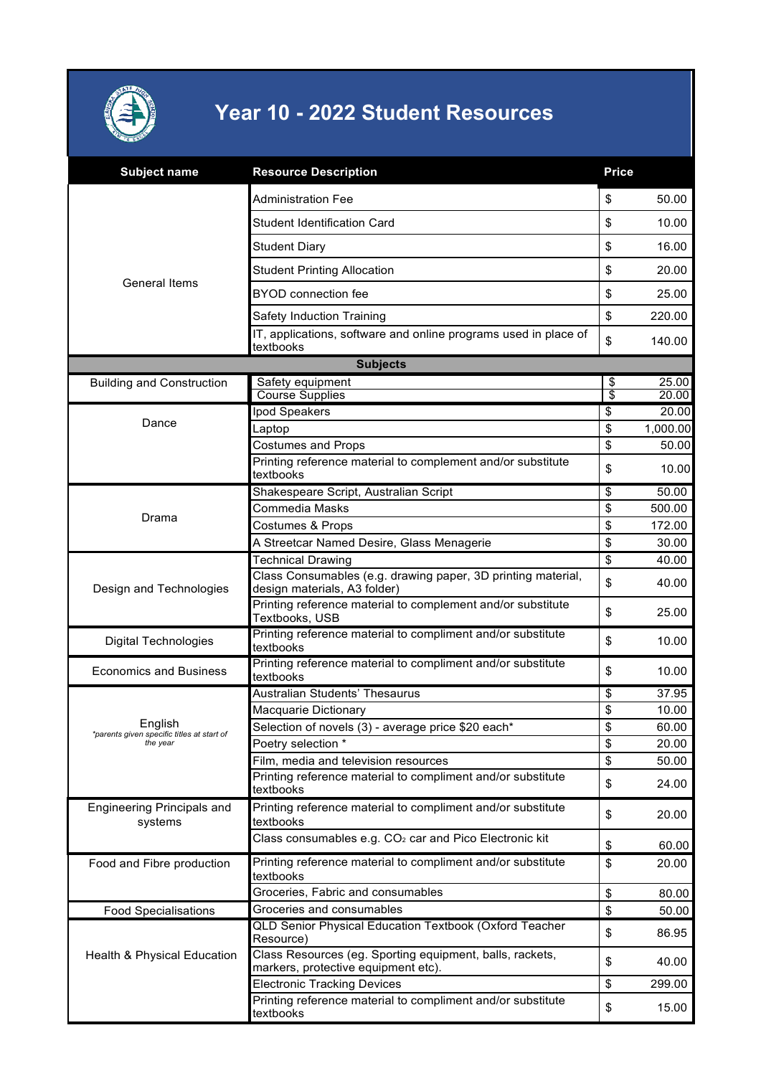

## **Year 10 - 2022 Student Resources**

| <b>Subject name</b>                                               | <b>Resource Description</b>                                                                     | <b>Price</b>                     |          |
|-------------------------------------------------------------------|-------------------------------------------------------------------------------------------------|----------------------------------|----------|
| <b>General Items</b>                                              | Administration Fee                                                                              | \$                               | 50.00    |
|                                                                   | Student Identification Card                                                                     | \$                               | 10.00    |
|                                                                   | Student Diary                                                                                   | \$                               | 16.00    |
|                                                                   | <b>Student Printing Allocation</b>                                                              | \$                               | 20.00    |
|                                                                   | <b>BYOD</b> connection fee                                                                      | \$                               | 25.00    |
|                                                                   | Safety Induction Training                                                                       | \$                               | 220.00   |
|                                                                   | IT, applications, software and online programs used in place of<br>textbooks                    | \$                               | 140.00   |
|                                                                   | <b>Subjects</b>                                                                                 |                                  |          |
| <b>Building and Construction</b>                                  | Safety equipment                                                                                | \$                               | 25.00    |
|                                                                   | <b>Course Supplies</b>                                                                          | \$                               | 20.00    |
| Dance                                                             | Ipod Speakers                                                                                   | \$                               | 20.00    |
|                                                                   | Laptop                                                                                          | \$                               | 1,000.00 |
|                                                                   | <b>Costumes and Props</b>                                                                       | \$                               | 50.00    |
|                                                                   | Printing reference material to complement and/or substitute<br>textbooks                        | \$                               | 10.00    |
|                                                                   | Shakespeare Script, Australian Script                                                           | \$                               | 50.00    |
| Drama                                                             | Commedia Masks                                                                                  | \$                               | 500.00   |
|                                                                   | Costumes & Props                                                                                | \$                               | 172.00   |
|                                                                   | A Streetcar Named Desire, Glass Menagerie                                                       | \$                               | 30.00    |
|                                                                   | <b>Technical Drawing</b>                                                                        | $\overline{\boldsymbol{\theta}}$ | 40.00    |
| Design and Technologies                                           | Class Consumables (e.g. drawing paper, 3D printing material,<br>design materials, A3 folder)    | \$                               | 40.00    |
|                                                                   | Printing reference material to complement and/or substitute<br>Textbooks, USB                   | \$                               | 25.00    |
| <b>Digital Technologies</b>                                       | Printing reference material to compliment and/or substitute<br>textbooks                        | \$                               | 10.00    |
| <b>Economics and Business</b>                                     | Printing reference material to compliment and/or substitute<br>textbooks                        | \$                               | 10.00    |
| English<br>*parents given specific titles at start of<br>the year | Australian Students' Thesaurus                                                                  | \$                               | 37.95    |
|                                                                   | Macquarie Dictionary                                                                            | \$                               | 10.00    |
|                                                                   | Selection of novels (3) - average price \$20 each*                                              | \$                               | 60.00    |
|                                                                   | Poetry selection *                                                                              | \$                               | 20.00    |
|                                                                   | Film, media and television resources                                                            | \$                               | 50.00    |
|                                                                   | Printing reference material to compliment and/or substitute<br>textbooks                        | \$                               | 24.00    |
| <b>Engineering Principals and</b><br>systems                      | Printing reference material to compliment and/or substitute<br>textbooks                        | \$                               | 20.00    |
|                                                                   | Class consumables e.g. CO <sub>2</sub> car and Pico Electronic kit                              | \$                               | 60.00    |
| Food and Fibre production                                         | Printing reference material to compliment and/or substitute<br>textbooks                        | \$                               | 20.00    |
|                                                                   | Groceries, Fabric and consumables                                                               | \$                               | 80.00    |
| <b>Food Specialisations</b>                                       | Groceries and consumables                                                                       | \$                               | 50.00    |
| Health & Physical Education                                       | <b>QLD Senior Physical Education Textbook (Oxford Teacher</b><br>Resource)                      | \$                               | 86.95    |
|                                                                   | Class Resources (eg. Sporting equipment, balls, rackets,<br>markers, protective equipment etc). | \$                               | 40.00    |
|                                                                   | <b>Electronic Tracking Devices</b>                                                              | \$                               | 299.00   |
|                                                                   | Printing reference material to compliment and/or substitute<br>textbooks                        | \$                               | 15.00    |